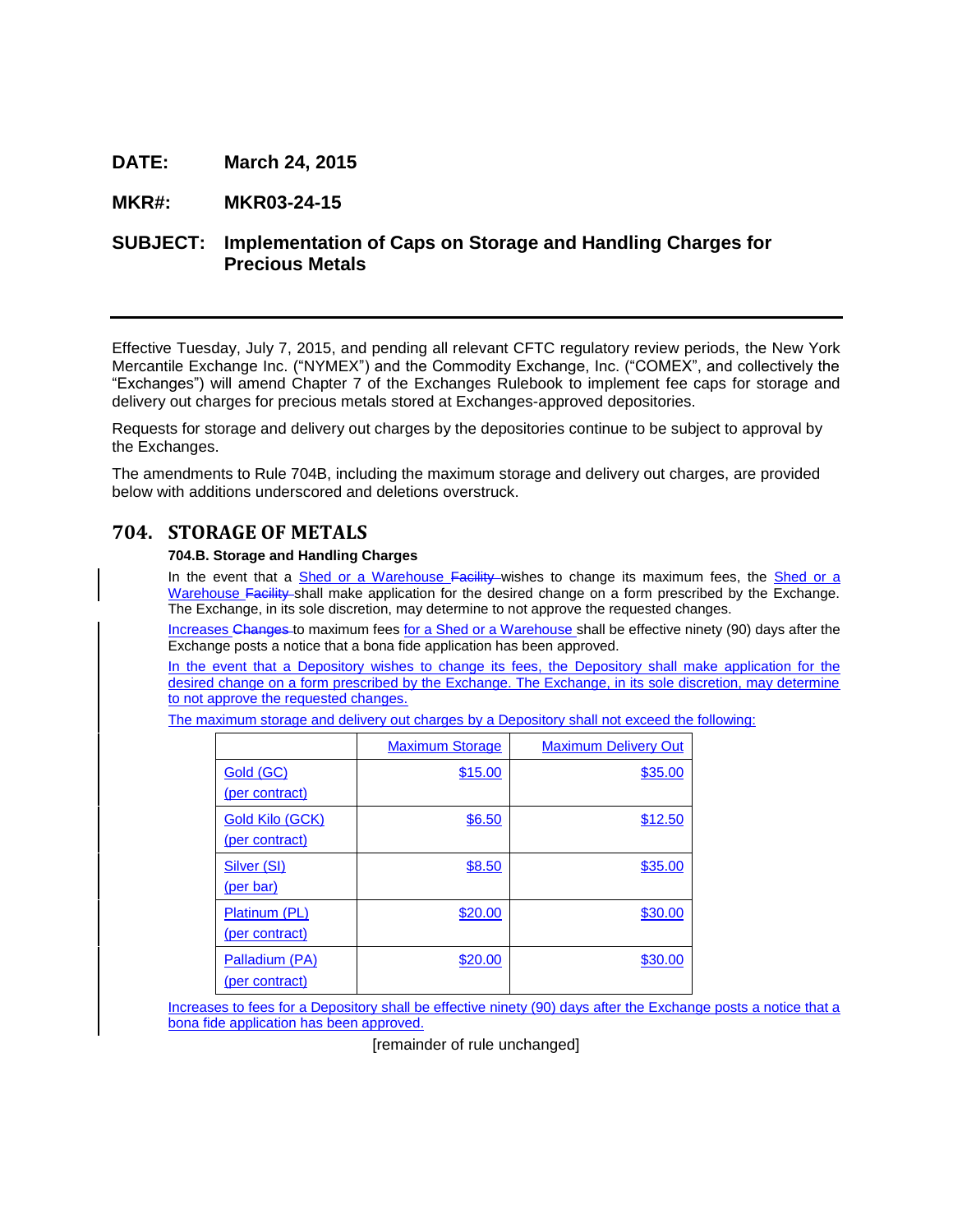# **DATE: March 24, 2015**

### **MKR#: MKR03-24-15**

# **SUBJECT: Implementation of Caps on Storage and Handling Charges for Precious Metals**

Effective Tuesday, July 7, 2015, and pending all relevant CFTC regulatory review periods, the New York Mercantile Exchange Inc. ("NYMEX") and the Commodity Exchange, Inc. ("COMEX", and collectively the "Exchanges") will amend Chapter 7 of the Exchanges Rulebook to implement fee caps for storage and delivery out charges for precious metals stored at Exchanges-approved depositories.

Requests for storage and delivery out charges by the depositories continue to be subject to approval by the Exchanges.

The amendments to Rule 704B, including the maximum storage and delivery out charges, are provided below with additions underscored and deletions overstruck.

# **704. STORAGE OF METALS**

#### **704.B. Storage and Handling Charges**

In the event that a Shed or a Warehouse Facility wishes to change its maximum fees, the Shed or a Warehouse Facility shall make application for the desired change on a form prescribed by the Exchange. The Exchange, in its sole discretion, may determine to not approve the requested changes.

Increases Changes to maximum fees for a Shed or a Warehouse shall be effective ninety (90) days after the Exchange posts a notice that a bona fide application has been approved.

In the event that a Depository wishes to change its fees, the Depository shall make application for the desired change on a form prescribed by the Exchange. The Exchange, in its sole discretion, may determine to not approve the requested changes.

The maximum storage and delivery out charges by a Depository shall not exceed the following:

|                                          | <b>Maximum Storage</b> | <b>Maximum Delivery Out</b> |
|------------------------------------------|------------------------|-----------------------------|
| Gold (GC)<br>(per contract)              | \$15.00                | \$35.00                     |
| <b>Gold Kilo (GCK)</b><br>(per contract) | \$6.50                 | \$12.50                     |
| Silver (SI)<br><u>(per bar)</u>          | \$8.50                 | \$35.00                     |
| Platinum (PL)<br>(per contract)          | \$20.00                | \$30.00                     |
| Palladium (PA)<br>(per contract)         | \$20.00                | \$30.00                     |

Increases to fees for a Depository shall be effective ninety (90) days after the Exchange posts a notice that a bona fide application has been approved.

[remainder of rule unchanged]